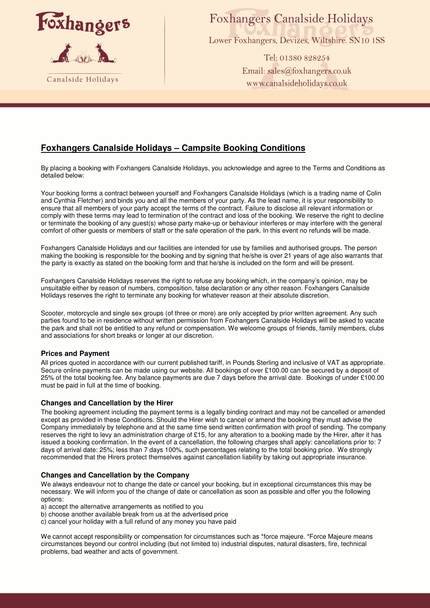

# **Foxhangers Canalside Holidays**

Lower Foxhangers, Devizes, Wiltshire. SN10 1SS

Tel: 01380 828254 Email: sales@foxhangers.co.uk www.canalsideholidays.co.uk

# **Foxhangers Canalside Holidays – Campsite Booking Conditions**

By placing a booking with Foxhangers Canalside Holidays, you acknowledge and agree to the Terms and Conditions as detailed below:

Your booking forms a contract between yourself and Foxhangers Canalside Holidays (which is a trading name of Colin and Cynthia Fletcher) and binds you and all the members of your party. As the lead name, it is your responsibility to ensure that all members of your party accept the terms of the contract. Failure to disclose all relevant information or comply with these terms may lead to termination of the contract and loss of the booking. We reserve the right to decline or terminate the booking of any guest(s) whose party make-up or behaviour interferes or may interfere with the general comfort of other guests or members of staff or the safe operation of the park. In this event no refunds will be made.

Foxhangers Canalside Holidays and our facilities are intended for use by families and authorised groups. The person making the booking is responsible for the booking and by signing that he/she is over 21 years of age also warrants that the party is exactly as stated on the booking form and that he/she is included on the form and will be present.

Foxhangers Canalside Holidays reserves the right to refuse any booking which, in the company's opinion, may be unsuitable either by reason of numbers, composition, false declaration or any other reason. Foxhangers Canalside Holidays reserves the right to terminate any booking for whatever reason at their absolute discretion.

Scooter, motorcycle and single sex groups (of three or more) are only accepted by prior written agreement. Any such parties found to be in residence without written permission from Foxhangers Canalside Holidays will be asked to vacate the park and shall not be entitled to any refund or compensation. We welcome groups of friends, family members, clubs and associations for short breaks or longer at our discretion.

# **Prices and Payment**

All prices quoted in accordance with our current published tariff, in Pounds Sterling and inclusive of VAT as appropriate. Secure online payments can be made using our website. All bookings of over £100.00 can be secured by a deposit of 25% of the total booking fee. Any balance payments are due 7 days before the arrival date. Bookings of under £100.00 must be paid in full at the time of booking.

# **Changes and Cancellation by the Hirer**

The booking agreement including the payment terms is a legally binding contract and may not be cancelled or amended except as provided in these Conditions. Should the Hirer wish to cancel or amend the booking they must advise the Company immediately by telephone and at the same time send written confirmation with proof of sending. The company reserves the right to levy an administration charge of £15, for any alteration to a booking made by the Hirer, after it has issued a booking confirmation. In the event of a cancellation, the following charges shall apply: cancellations prior to: 7 days of arrival date: 25%; less than 7 days 100%, such percentages relating to the total booking price. We strongly recommended that the Hirers protect themselves against cancellation liability by taking out appropriate insurance.

# **Changes and Cancellation by the Company**

We always endeavour not to change the date or cancel your booking, but in exceptional circumstances this may be necessary. We will inform you of the change of date or cancellation as soon as possible and offer you the following options:

a) accept the alternative arrangements as notified to you

- b) choose another available break from us at the advertised price
- c) cancel your holiday with a full refund of any money you have paid

We cannot accept responsibility or compensation for circumstances such as \*force majeure. \*Force Majeure means circumstances beyond our control including (but not limited to) industrial disputes, natural disasters, fire, technical problems, bad weather and acts of government.